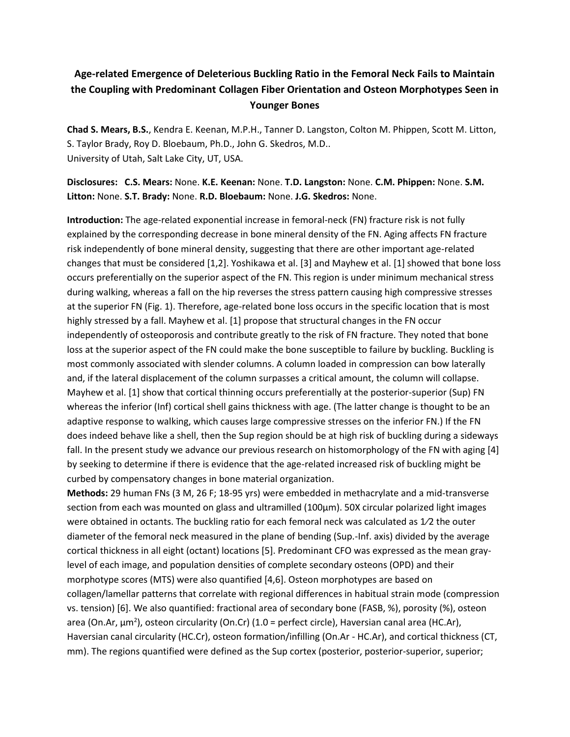## **Age-related Emergence of Deleterious Buckling Ratio in the Femoral Neck Fails to Maintain the Coupling with Predominant Collagen Fiber Orientation and Osteon Morphotypes Seen in Younger Bones**

**Chad S. Mears, B.S.**, Kendra E. Keenan, M.P.H., Tanner D. Langston, Colton M. Phippen, Scott M. Litton, S. Taylor Brady, Roy D. Bloebaum, Ph.D., John G. Skedros, M.D.. University of Utah, Salt Lake City, UT, USA.

## **Disclosures: C.S. Mears:** None. **K.E. Keenan:** None. **T.D. Langston:** None. **C.M. Phippen:** None. **S.M. Litton:** None. **S.T. Brady:** None. **R.D. Bloebaum:** None. **J.G. Skedros:** None.

**Introduction:** The age-related exponential increase in femoral-neck (FN) fracture risk is not fully explained by the corresponding decrease in bone mineral density of the FN. Aging affects FN fracture risk independently of bone mineral density, suggesting that there are other important age-related changes that must be considered [1,2]. Yoshikawa et al. [3] and Mayhew et al. [1] showed that bone loss occurs preferentially on the superior aspect of the FN. This region is under minimum mechanical stress during walking, whereas a fall on the hip reverses the stress pattern causing high compressive stresses at the superior FN (Fig. 1). Therefore, age-related bone loss occurs in the specific location that is most highly stressed by a fall. Mayhew et al. [1] propose that structural changes in the FN occur independently of osteoporosis and contribute greatly to the risk of FN fracture. They noted that bone loss at the superior aspect of the FN could make the bone susceptible to failure by buckling. Buckling is most commonly associated with slender columns. A column loaded in compression can bow laterally and, if the lateral displacement of the column surpasses a critical amount, the column will collapse. Mayhew et al. [1] show that cortical thinning occurs preferentially at the posterior-superior (Sup) FN whereas the inferior (Inf) cortical shell gains thickness with age. (The latter change is thought to be an adaptive response to walking, which causes large compressive stresses on the inferior FN.) If the FN does indeed behave like a shell, then the Sup region should be at high risk of buckling during a sideways fall. In the present study we advance our previous research on histomorphology of the FN with aging [4] by seeking to determine if there is evidence that the age-related increased risk of buckling might be curbed by compensatory changes in bone material organization.

**Methods:** 29 human FNs (3 M, 26 F; 18-95 yrs) were embedded in methacrylate and a mid-transverse section from each was mounted on glass and ultramilled (100µm). 50X circular polarized light images were obtained in octants. The buckling ratio for each femoral neck was calculated as 1/2 the outer diameter of the femoral neck measured in the plane of bending (Sup.-Inf. axis) divided by the average cortical thickness in all eight (octant) locations [5]. Predominant CFO was expressed as the mean graylevel of each image, and population densities of complete secondary osteons (OPD) and their morphotype scores (MTS) were also quantified [4,6]. Osteon morphotypes are based on collagen/lamellar patterns that correlate with regional differences in habitual strain mode (compression vs. tension) [6]. We also quantified: fractional area of secondary bone (FASB, %), porosity (%), osteon area (On.Ar, µm<sup>2</sup>), osteon circularity (On.Cr) (1.0 = perfect circle), Haversian canal area (HC.Ar), Haversian canal circularity (HC.Cr), osteon formation/infilling (On.Ar - HC.Ar), and cortical thickness (CT, mm). The regions quantified were defined as the Sup cortex (posterior, posterior-superior, superior;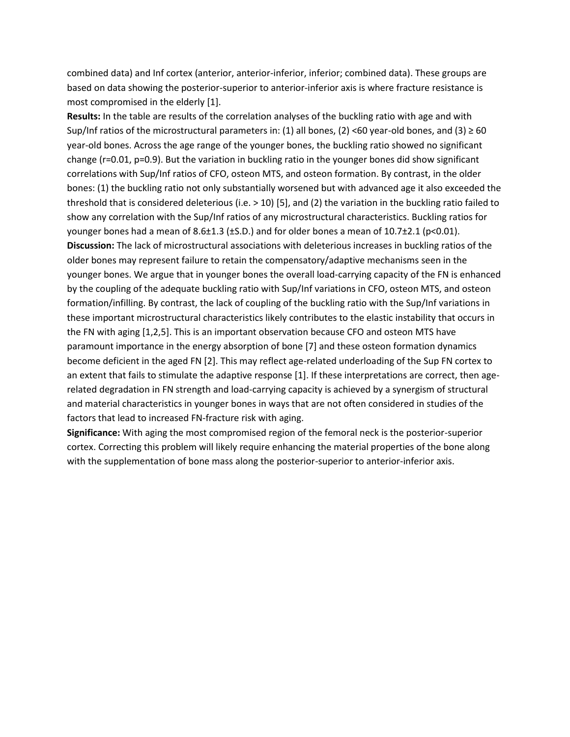combined data) and Inf cortex (anterior, anterior-inferior, inferior; combined data). These groups are based on data showing the posterior-superior to anterior-inferior axis is where fracture resistance is most compromised in the elderly [1].

**Results:** In the table are results of the correlation analyses of the buckling ratio with age and with Sup/Inf ratios of the microstructural parameters in: (1) all bones, (2) <60 year-old bones, and (3)  $\geq$  60 year-old bones. Across the age range of the younger bones, the buckling ratio showed no significant change (r=0.01, p=0.9). But the variation in buckling ratio in the younger bones did show significant correlations with Sup/Inf ratios of CFO, osteon MTS, and osteon formation. By contrast, in the older bones: (1) the buckling ratio not only substantially worsened but with advanced age it also exceeded the threshold that is considered deleterious (i.e. > 10) [5], and (2) the variation in the buckling ratio failed to show any correlation with the Sup/Inf ratios of any microstructural characteristics. Buckling ratios for younger bones had a mean of 8.6 $\pm$ 1.3 ( $\pm$ S.D.) and for older bones a mean of 10.7 $\pm$ 2.1 (p<0.01). **Discussion:** The lack of microstructural associations with deleterious increases in buckling ratios of the older bones may represent failure to retain the compensatory/adaptive mechanisms seen in the younger bones. We argue that in younger bones the overall load-carrying capacity of the FN is enhanced by the coupling of the adequate buckling ratio with Sup/Inf variations in CFO, osteon MTS, and osteon formation/infilling. By contrast, the lack of coupling of the buckling ratio with the Sup/Inf variations in these important microstructural characteristics likely contributes to the elastic instability that occurs in the FN with aging [1,2,5]. This is an important observation because CFO and osteon MTS have paramount importance in the energy absorption of bone [7] and these osteon formation dynamics become deficient in the aged FN [2]. This may reflect age-related underloading of the Sup FN cortex to an extent that fails to stimulate the adaptive response [1]. If these interpretations are correct, then agerelated degradation in FN strength and load-carrying capacity is achieved by a synergism of structural and material characteristics in younger bones in ways that are not often considered in studies of the factors that lead to increased FN-fracture risk with aging.

**Significance:** With aging the most compromised region of the femoral neck is the posterior-superior cortex. Correcting this problem will likely require enhancing the material properties of the bone along with the supplementation of bone mass along the posterior-superior to anterior-inferior axis.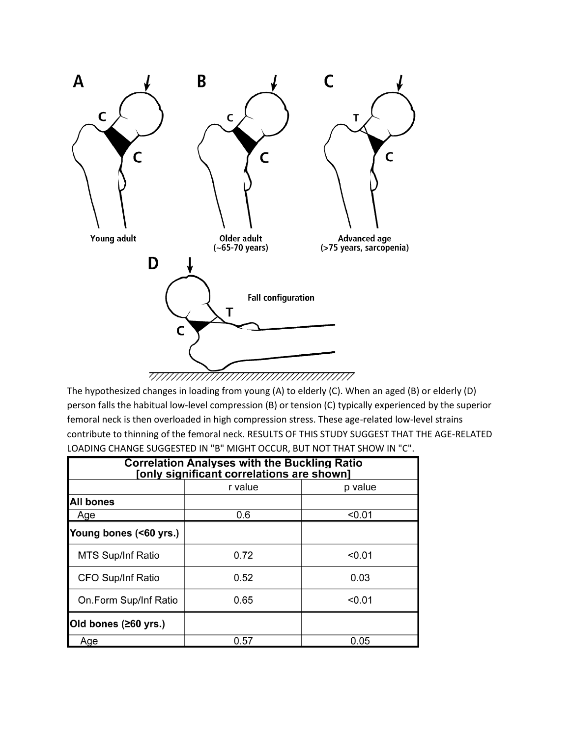

The hypothesized changes in loading from young (A) to elderly (C). When an aged (B) or elderly (D) person falls the habitual low-level compression (B) or tension (C) typically experienced by the superior femoral neck is then overloaded in high compression stress. These age-related low-level strains contribute to thinning of the femoral neck. RESULTS OF THIS STUDY SUGGEST THAT THE AGE-RELATED LOADING CHANGE SUGGESTED IN "B" MIGHT OCCUR, BUT NOT THAT SHOW IN "C".

| <b>Correlation Analyses with the Buckling Ratio</b><br>[only significant correlations are shown] |         |         |
|--------------------------------------------------------------------------------------------------|---------|---------|
|                                                                                                  | r value | p value |
| <b>All bones</b>                                                                                 |         |         |
| Age                                                                                              | 0.6     | < 0.01  |
| Young bones (<60 yrs.)                                                                           |         |         |
| MTS Sup/Inf Ratio                                                                                | 0.72    | < 0.01  |
| CFO Sup/Inf Ratio                                                                                | 0.52    | 0.03    |
| On Form Sup/Inf Ratio                                                                            | 0.65    | < 0.01  |
| Old bones (≥60 yrs.)                                                                             |         |         |
| Age                                                                                              | 0.57    | 0.05    |